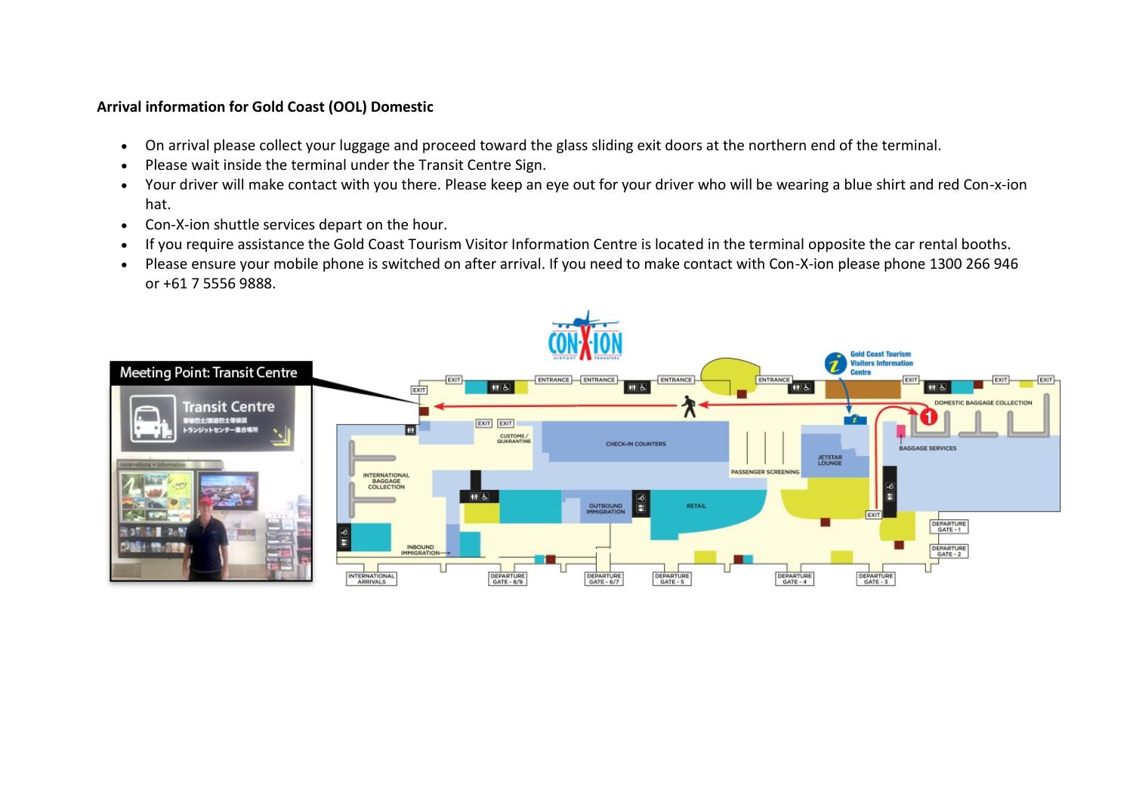## **Arrival information for Gold Coast (OOL) Domestic**

- On arrival please collect your luggage and proceed toward the glass sliding exit doors at the northern end of the terminal.
- Please wait inside the terminal under the Transit Centre Sign.
- Your driver will make contact with you there. Please keep an eye out for your driver who will be wearing a blue shirt and red Con-x-ion hat.
- Con-X-ion shuttle services depart on the hour.
- If you require assistance the Gold Coast Tourism Visitor Information Centre is located in the terminal opposite the car rental booths.
- Please ensure your mobile phone is switched on after arrival. If you need to make contact with Con-X-ion please phone 1300 266 946 or +61 7 5556 9888.